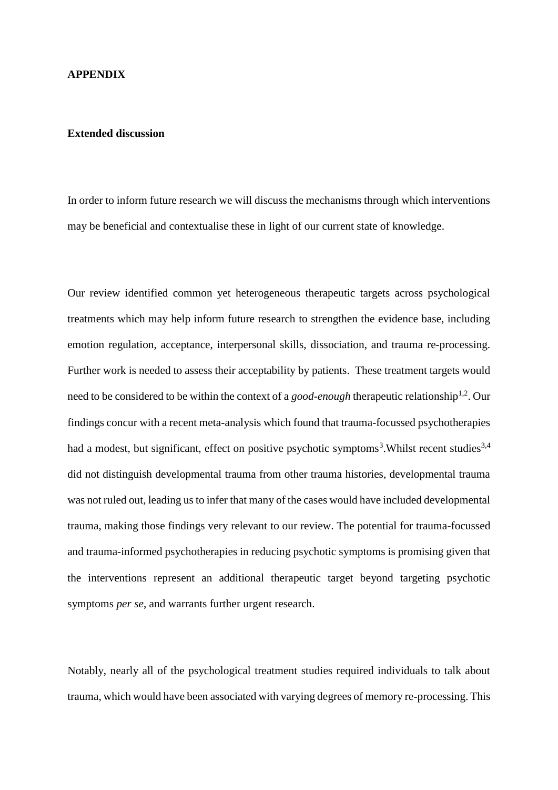## **APPENDIX**

## **Extended discussion**

In order to inform future research we will discuss the mechanisms through which interventions may be beneficial and contextualise these in light of our current state of knowledge.

Our review identified common yet heterogeneous therapeutic targets across psychological treatments which may help inform future research to strengthen the evidence base, including emotion regulation, acceptance, interpersonal skills, dissociation, and trauma re-processing. Further work is needed to assess their acceptability by patients. These treatment targets would need to be considered to be within the context of a *good-enough* therapeutic relationship<sup>1,2</sup>. Our findings concur with a recent meta-analysis which found that trauma-focussed psychotherapies had a modest, but significant, effect on positive psychotic symptoms<sup>3</sup>. Whilst recent studies<sup>3,4</sup> did not distinguish developmental trauma from other trauma histories, developmental trauma was not ruled out, leading us to infer that many of the cases would have included developmental trauma, making those findings very relevant to our review. The potential for trauma-focussed and trauma-informed psychotherapies in reducing psychotic symptoms is promising given that the interventions represent an additional therapeutic target beyond targeting psychotic symptoms *per se*, and warrants further urgent research.

Notably, nearly all of the psychological treatment studies required individuals to talk about trauma, which would have been associated with varying degrees of memory re-processing. This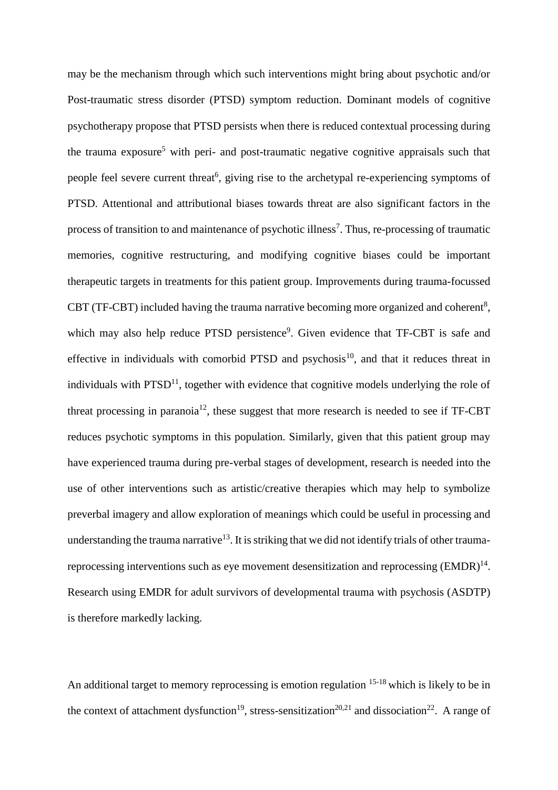may be the mechanism through which such interventions might bring about psychotic and/or Post-traumatic stress disorder (PTSD) symptom reduction. Dominant models of cognitive psychotherapy propose that PTSD persists when there is reduced contextual processing during the trauma exposure<sup>5</sup> with peri- and post-traumatic negative cognitive appraisals such that people feel severe current threat<sup>6</sup>, giving rise to the archetypal re-experiencing symptoms of PTSD. Attentional and attributional biases towards threat are also significant factors in the process of transition to and maintenance of psychotic illness<sup>7</sup>. Thus, re-processing of traumatic memories, cognitive restructuring, and modifying cognitive biases could be important therapeutic targets in treatments for this patient group. Improvements during trauma-focussed CBT (TF-CBT) included having the trauma narrative becoming more organized and coherent<sup>8</sup>, which may also help reduce PTSD persistence<sup>9</sup>. Given evidence that TF-CBT is safe and effective in individuals with comorbid PTSD and psychosis<sup>10</sup>, and that it reduces threat in individuals with  $PTSD<sup>11</sup>$ , together with evidence that cognitive models underlying the role of threat processing in paranoia<sup>12</sup>, these suggest that more research is needed to see if TF-CBT reduces psychotic symptoms in this population. Similarly, given that this patient group may have experienced trauma during pre-verbal stages of development, research is needed into the use of other interventions such as artistic/creative therapies which may help to symbolize preverbal imagery and allow exploration of meanings which could be useful in processing and understanding the trauma narrative<sup>13</sup>. It is striking that we did not identify trials of other traumareprocessing interventions such as eye movement desensitization and reprocessing  $(EMDR)^{14}$ . Research using EMDR for adult survivors of developmental trauma with psychosis (ASDTP) is therefore markedly lacking.

An additional target to memory reprocessing is emotion regulation <sup>15-18</sup> which is likely to be in the context of attachment dysfunction<sup>19</sup>, stress-sensitization<sup>20,21</sup> and dissociation<sup>22</sup>. A range of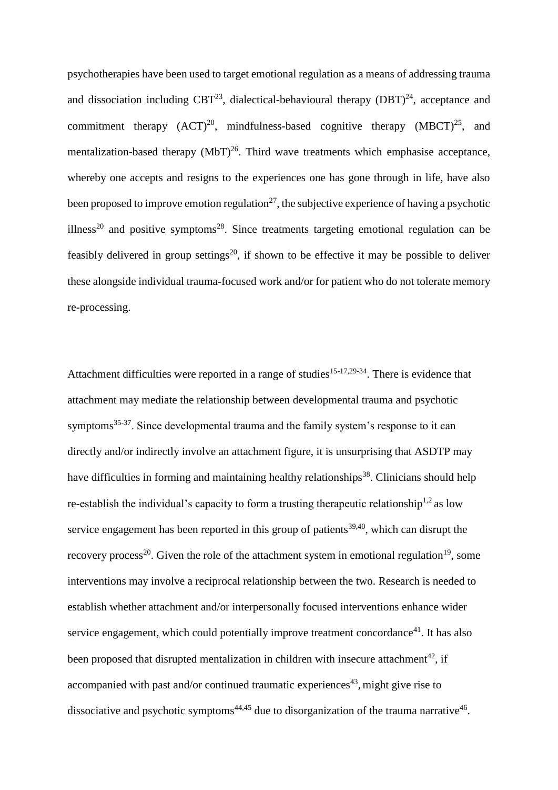psychotherapies have been used to target emotional regulation as a means of addressing trauma and dissociation including CBT<sup>23</sup>, dialectical-behavioural therapy  $(DBT)^{24}$ , acceptance and commitment therapy  $(ACT)^{20}$ , mindfulness-based cognitive therapy  $(MBCT)^{25}$ , and mentalization-based therapy  $(MbT)^{26}$ . Third wave treatments which emphasise acceptance, whereby one accepts and resigns to the experiences one has gone through in life, have also been proposed to improve emotion regulation<sup>27</sup>, the subjective experience of having a psychotic illness<sup>20</sup> and positive symptoms<sup>28</sup>. Since treatments targeting emotional regulation can be feasibly delivered in group settings<sup>20</sup>, if shown to be effective it may be possible to deliver these alongside individual trauma-focused work and/or for patient who do not tolerate memory re-processing.

Attachment difficulties were reported in a range of studies<sup>15-17,29-34</sup>. There is evidence that attachment may mediate the relationship between developmental trauma and psychotic symptoms<sup>35-37</sup>. Since developmental trauma and the family system's response to it can directly and/or indirectly involve an attachment figure, it is unsurprising that ASDTP may have difficulties in forming and maintaining healthy relationships<sup>38</sup>. Clinicians should help re-establish the individual's capacity to form a trusting therapeutic relationship<sup>1,2</sup> as low service engagement has been reported in this group of patients<sup>39,40</sup>, which can disrupt the recovery process<sup>20</sup>. Given the role of the attachment system in emotional regulation<sup>19</sup>, some interventions may involve a reciprocal relationship between the two. Research is needed to establish whether attachment and/or interpersonally focused interventions enhance wider service engagement, which could potentially improve treatment concordance<sup>41</sup>. It has also been proposed that disrupted mentalization in children with insecure attachment<sup>42</sup>, if accompanied with past and/or continued traumatic experiences<sup>43</sup>, might give rise to dissociative and psychotic symptoms<sup>44,45</sup> due to disorganization of the trauma narrative<sup>46</sup>.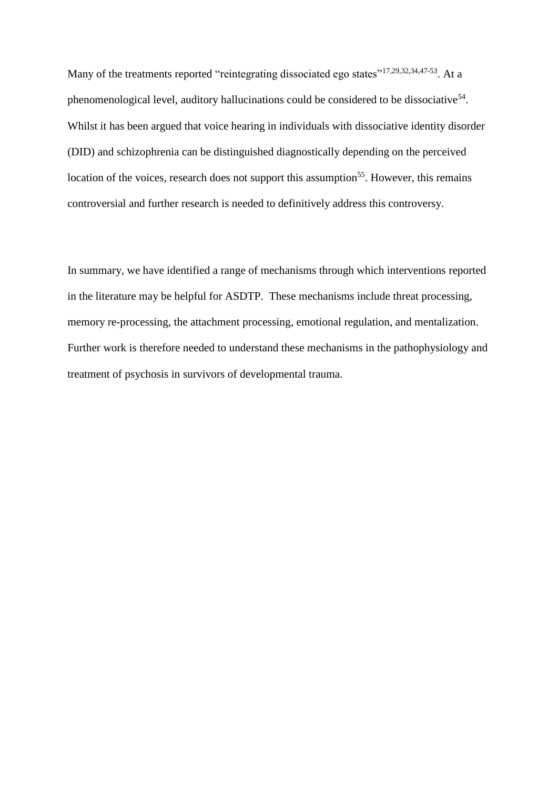Many of the treatments reported "reintegrating dissociated ego states"<sup>17,29,32,34,47-53</sup>. At a phenomenological level, auditory hallucinations could be considered to be dissociative<sup>54</sup>. Whilst it has been argued that voice hearing in individuals with dissociative identity disorder (DID) and schizophrenia can be distinguished diagnostically depending on the perceived location of the voices, research does not support this assumption<sup>55</sup>. However, this remains controversial and further research is needed to definitively address this controversy.

In summary, we have identified a range of mechanisms through which interventions reported in the literature may be helpful for ASDTP. These mechanisms include threat processing, memory re-processing, the attachment processing, emotional regulation, and mentalization. Further work is therefore needed to understand these mechanisms in the pathophysiology and treatment of psychosis in survivors of developmental trauma.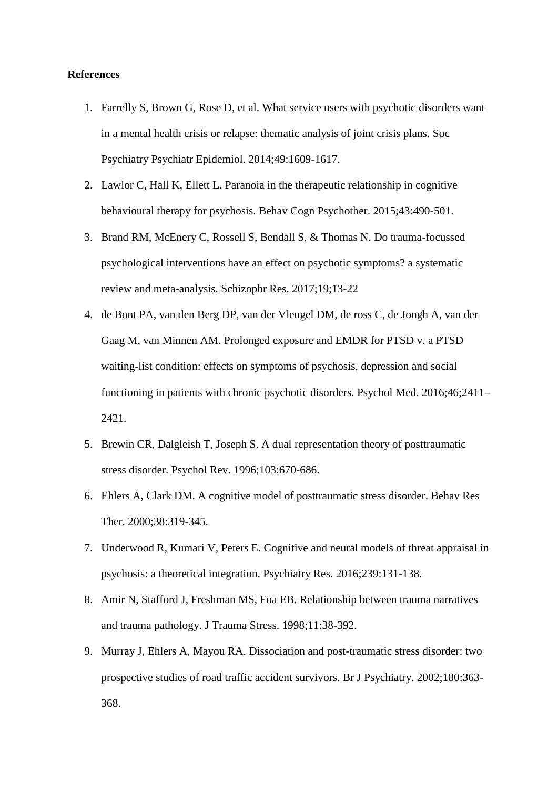## **References**

- 1. Farrelly S, Brown G, Rose D, et al. What service users with psychotic disorders want in a mental health crisis or relapse: thematic analysis of joint crisis plans. Soc Psychiatry Psychiatr Epidemiol. 2014;49:1609-1617.
- 2. Lawlor C, Hall K, Ellett L. Paranoia in the therapeutic relationship in cognitive behavioural therapy for psychosis. Behav Cogn Psychother. 2015;43:490-501.
- 3. Brand RM, McEnery C, Rossell S, Bendall S, & Thomas N. Do trauma-focussed psychological interventions have an effect on psychotic symptoms? a systematic review and meta-analysis. Schizophr Res. 2017;19;13-22
- 4. de Bont PA, van den Berg DP, van der Vleugel DM, de ross C, de Jongh A, van der Gaag M, van Minnen AM. Prolonged exposure and EMDR for PTSD v. a PTSD waiting-list condition: effects on symptoms of psychosis, depression and social functioning in patients with chronic psychotic disorders. Psychol Med. 2016;46;2411– 2421.
- 5. Brewin CR, Dalgleish T, Joseph S. A dual representation theory of posttraumatic stress disorder. Psychol Rev. 1996;103:670-686.
- 6. Ehlers A, Clark DM. A cognitive model of posttraumatic stress disorder. Behav Res Ther. 2000;38:319-345.
- 7. Underwood R, Kumari V, Peters E. Cognitive and neural models of threat appraisal in psychosis: a theoretical integration. Psychiatry Res. 2016;239:131-138.
- 8. Amir N, Stafford J, Freshman MS, Foa EB. Relationship between trauma narratives and trauma pathology. J Trauma Stress. 1998;11:38-392.
- 9. Murray J, Ehlers A, Mayou RA. Dissociation and post-traumatic stress disorder: two prospective studies of road traffic accident survivors. Br J Psychiatry. 2002;180:363- 368.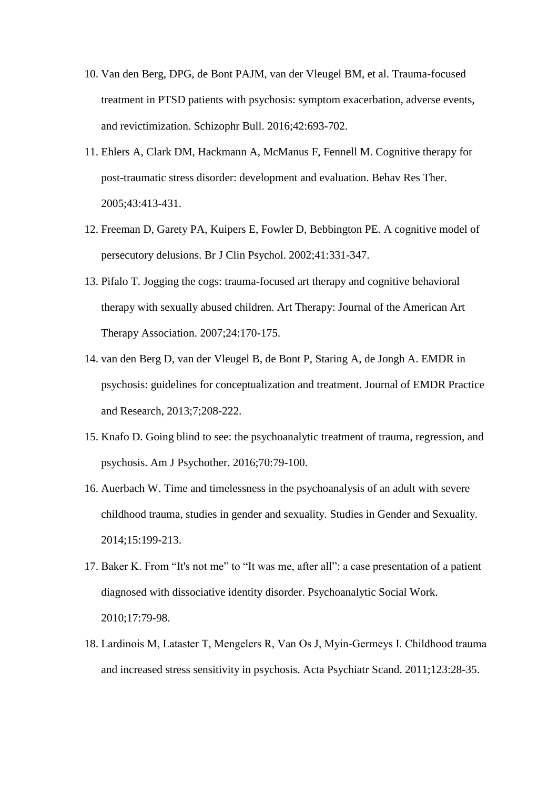- 10. Van den Berg, DPG, de Bont PAJM, van der Vleugel BM, et al. Trauma-focused treatment in PTSD patients with psychosis: symptom exacerbation, adverse events, and revictimization. Schizophr Bull. 2016;42:693-702.
- 11. Ehlers A, Clark DM, Hackmann A, McManus F, Fennell M. Cognitive therapy for post-traumatic stress disorder: development and evaluation. Behav Res Ther. 2005;43:413-431.
- 12. Freeman D, Garety PA, Kuipers E, Fowler D, Bebbington PE. A cognitive model of persecutory delusions. Br J Clin Psychol. 2002;41:331-347.
- 13. Pifalo T. Jogging the cogs: trauma-focused art therapy and cognitive behavioral therapy with sexually abused children. Art Therapy: Journal of the American Art Therapy Association. 2007;24:170-175.
- 14. van den Berg D, van der Vleugel B, de Bont P, Staring A, de Jongh A. EMDR in psychosis: guidelines for conceptualization and treatment. Journal of EMDR Practice and Research, 2013;7;208-222.
- 15. Knafo D. Going blind to see: the psychoanalytic treatment of trauma, regression, and psychosis. Am J Psychother. 2016;70:79-100.
- 16. Auerbach W. Time and timelessness in the psychoanalysis of an adult with severe childhood trauma, studies in gender and sexuality. Studies in Gender and Sexuality. 2014;15:199-213.
- 17. Baker K. From "It's not me" to "It was me, after all": a case presentation of a patient diagnosed with dissociative identity disorder. Psychoanalytic Social Work. 2010;17:79-98.
- 18. Lardinois M, Lataster T, Mengelers R, Van Os J, Myin‐Germeys I. Childhood trauma and increased stress sensitivity in psychosis. Acta Psychiatr Scand. 2011;123:28-35.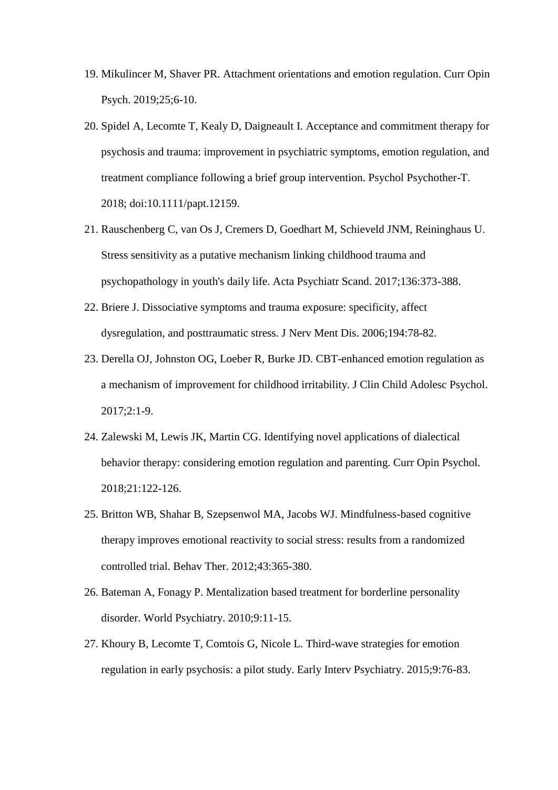- 19. Mikulincer M, Shaver PR. Attachment orientations and emotion regulation. Curr Opin Psych. 2019;25;6-10.
- 20. Spidel A, Lecomte T, Kealy D, Daigneault I. Acceptance and commitment therapy for psychosis and trauma: improvement in psychiatric symptoms, emotion regulation, and treatment compliance following a brief group intervention. Psychol Psychother-T. 2018; doi:10.1111/papt.12159.
- 21. Rauschenberg C, van Os J, Cremers D, Goedhart M, Schieveld JNM, Reininghaus U. Stress sensitivity as a putative mechanism linking childhood trauma and psychopathology in youth's daily life. Acta Psychiatr Scand. 2017;136:373-388.
- 22. Briere J. Dissociative symptoms and trauma exposure: specificity, affect dysregulation, and posttraumatic stress. J Nerv Ment Dis. 2006;194:78-82.
- 23. Derella OJ, Johnston OG, Loeber R, Burke JD. CBT-enhanced emotion regulation as a mechanism of improvement for childhood irritability. J Clin Child Adolesc Psychol. 2017;2:1-9.
- 24. Zalewski M, Lewis JK, Martin CG. Identifying novel applications of dialectical behavior therapy: considering emotion regulation and parenting. Curr Opin Psychol. 2018;21:122-126.
- 25. Britton WB, Shahar B, Szepsenwol MA, Jacobs WJ. Mindfulness-based cognitive therapy improves emotional reactivity to social stress: results from a randomized controlled trial. Behav Ther. 2012;43:365-380.
- 26. Bateman A, Fonagy P. Mentalization based treatment for borderline personality disorder. World Psychiatry. 2010;9:11-15.
- 27. Khoury B, Lecomte T, Comtois G, Nicole L. Third-wave strategies for emotion regulation in early psychosis: a pilot study. Early Interv Psychiatry. 2015;9:76-83.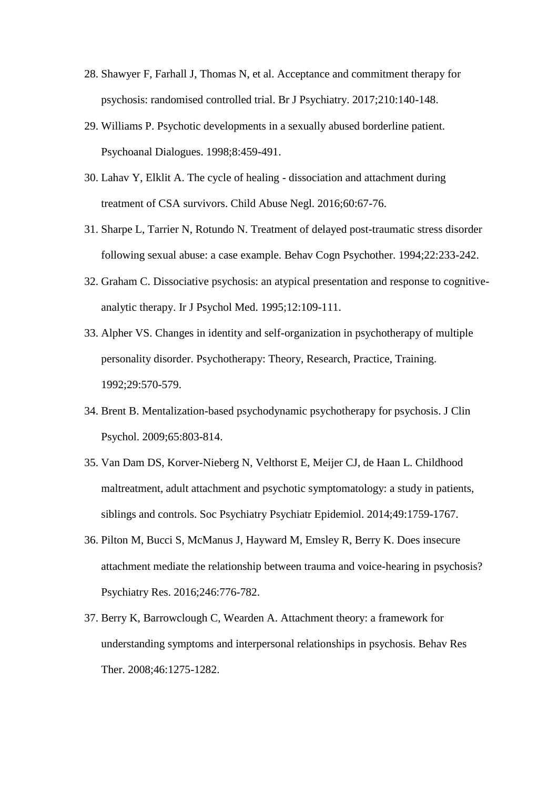- 28. Shawyer F, Farhall J, Thomas N, et al. Acceptance and commitment therapy for psychosis: randomised controlled trial. Br J Psychiatry. 2017;210:140-148.
- 29. Williams P. Psychotic developments in a sexually abused borderline patient. Psychoanal Dialogues. 1998;8:459-491.
- 30. Lahav Y, Elklit A. The cycle of healing dissociation and attachment during treatment of CSA survivors. Child Abuse Negl. 2016;60:67-76.
- 31. Sharpe L, Tarrier N, Rotundo N. Treatment of delayed post-traumatic stress disorder following sexual abuse: a case example. Behav Cogn Psychother. 1994;22:233-242.
- 32. Graham C. Dissociative psychosis: an atypical presentation and response to cognitiveanalytic therapy. Ir J Psychol Med. 1995;12:109-111.
- 33. Alpher VS. Changes in identity and self-organization in psychotherapy of multiple personality disorder. Psychotherapy: Theory, Research, Practice, Training. 1992;29:570-579.
- 34. Brent B. Mentalization-based psychodynamic psychotherapy for psychosis. J Clin Psychol. 2009;65:803-814.
- 35. Van Dam DS, Korver-Nieberg N, Velthorst E, Meijer CJ, de Haan L. Childhood maltreatment, adult attachment and psychotic symptomatology: a study in patients, siblings and controls. Soc Psychiatry Psychiatr Epidemiol. 2014;49:1759-1767.
- 36. Pilton M, Bucci S, McManus J, Hayward M, Emsley R, Berry K. Does insecure attachment mediate the relationship between trauma and voice-hearing in psychosis? Psychiatry Res. 2016;246:776-782.
- 37. Berry K, Barrowclough C, Wearden A. Attachment theory: a framework for understanding symptoms and interpersonal relationships in psychosis. Behav Res Ther. 2008;46:1275-1282.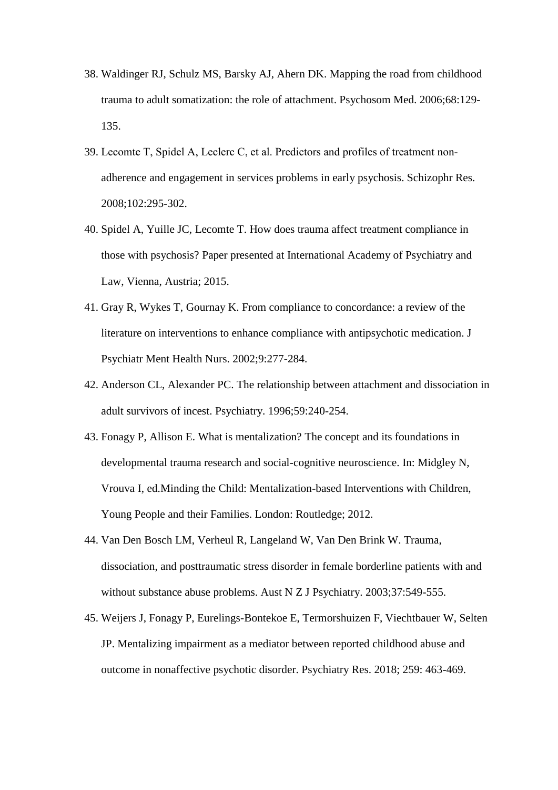- 38. Waldinger RJ, Schulz MS, Barsky AJ, Ahern DK. Mapping the road from childhood trauma to adult somatization: the role of attachment. Psychosom Med. 2006;68:129- 135.
- 39. Lecomte T, Spidel A, Leclerc C, et al. Predictors and profiles of treatment non‐ adherence and engagement in services problems in early psychosis. Schizophr Res. 2008;102:295-302.
- 40. Spidel A, Yuille JC, Lecomte T. How does trauma affect treatment compliance in those with psychosis? Paper presented at International Academy of Psychiatry and Law, Vienna, Austria; 2015.
- 41. Gray R, Wykes T, Gournay K. From compliance to concordance: a review of the literature on interventions to enhance compliance with antipsychotic medication. J Psychiatr Ment Health Nurs. 2002;9:277-284.
- 42. Anderson CL, Alexander PC. The relationship between attachment and dissociation in adult survivors of incest. Psychiatry. 1996;59:240-254.
- 43. Fonagy P, Allison E. What is mentalization? The concept and its foundations in developmental trauma research and social-cognitive neuroscience. In: Midgley N, Vrouva I, ed.Minding the Child: Mentalization-based Interventions with Children, Young People and their Families. London: Routledge; 2012.
- 44. Van Den Bosch LM, Verheul R, Langeland W, Van Den Brink W. Trauma, dissociation, and posttraumatic stress disorder in female borderline patients with and without substance abuse problems. Aust N Z J Psychiatry. 2003;37:549-555.
- 45. Weijers J, Fonagy P, Eurelings-Bontekoe E, Termorshuizen F, Viechtbauer W, Selten JP. Mentalizing impairment as a mediator between reported childhood abuse and outcome in nonaffective psychotic disorder. Psychiatry Res. 2018; 259: 463-469.